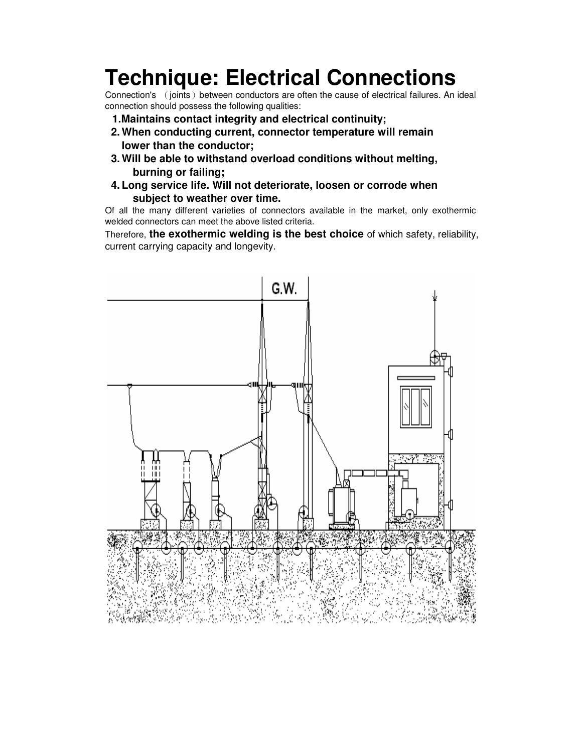## **Technique: Electrical Connections**

Connection's (joints) between conductors are often the cause of electrical failures. An ideal connection should possess the following qualities:

- **1.Maintains contact integrity and electrical continuity;**
- **2. When conducting current, connector temperature will remain lower than the conductor;**
- **3. Will be able to withstand overload conditions without melting, burning or failing;**
- **4. Long service life. Will not deteriorate, loosen or corrode when subject to weather over time.**

Of all the many different varieties of connectors available in the market, only exothermic welded connectors can meet the above listed criteria.

Therefore, **the exothermic welding is the best choice** of which safety, reliability, current carrying capacity and longevity.

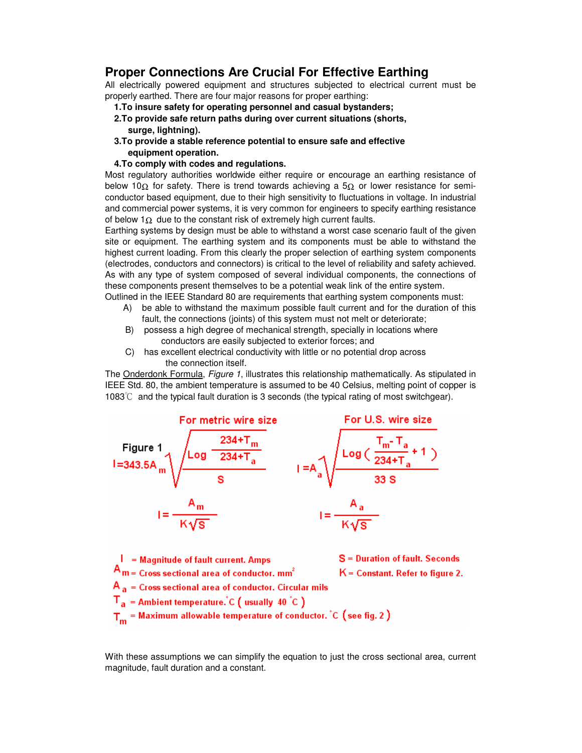## **Proper Connections Are Crucial For Effective Earthing**

All electrically powered equipment and structures subjected to electrical current must be properly earthed. There are four major reasons for proper earthing:

- **1.To insure safety for operating personnel and casual bystanders;**
- **2.To provide safe return paths during over current situations (shorts, surge, lightning).**
- **3.To provide a stable reference potential to ensure safe and effective equipment operation.**

## **4.To comply with codes and regulations.**

Most regulatory authorities worldwide either require or encourage an earthing resistance of below 10Ω for safety. There is trend towards achieving a 5 $Ω$  or lower resistance for semiconductor based equipment, due to their high sensitivity to fluctuations in voltage. In industrial and commercial power systems, it is very common for engineers to specify earthing resistance of below 1 $\Omega$  due to the constant risk of extremely high current faults.

Earthing systems by design must be able to withstand a worst case scenario fault of the given site or equipment. The earthing system and its components must be able to withstand the highest current loading. From this clearly the proper selection of earthing system components (electrodes, conductors and connectors) is critical to the level of reliability and safety achieved. As with any type of system composed of several individual components, the connections of these components present themselves to be a potential weak link of the entire system. Outlined in the IEEE Standard 80 are requirements that earthing system components must:

- A) be able to withstand the maximum possible fault current and for the duration of this fault, the connections (joints) of this system must not melt or deteriorate;
- B) possess a high degree of mechanical strength, specially in locations where conductors are easily subjected to exterior forces; and
- C) has excellent electrical conductivity with little or no potential drop across the connection itself.

The Onderdonk Formula, *Figure 1*, illustrates this relationship mathematically. As stipulated in IEEE Std. 80, the ambient temperature is assumed to be 40 Celsius, melting point of copper is 1083 $\degree$  and the typical fault duration is 3 seconds (the typical rating of most switchgear).





With these assumptions we can simplify the equation to just the cross sectional area, current magnitude, fault duration and a constant.